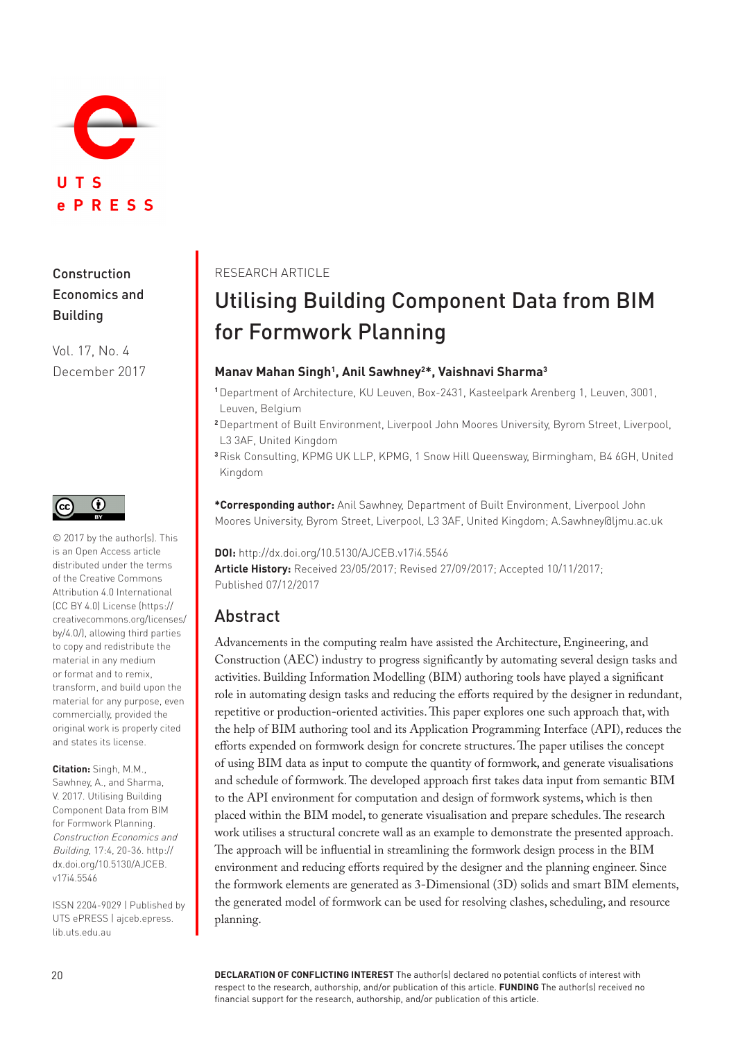

# Construction Economics and Building

Vol. 17, No. 4 December 2017



© 2017 by the author(s). This is an Open Access article distributed under the terms of the Creative Commons Attribution 4.0 International (CC BY 4.0) License ([https://](https://creativecommons.org/licenses/by/4.0/) [creativecommons.org/licenses/](https://creativecommons.org/licenses/by/4.0/) [by/4.0/](https://creativecommons.org/licenses/by/4.0/)), allowing third parties to copy and redistribute the material in any medium or format and to remix, transform, and build upon the material for any purpose, even commercially, provided the original work is properly cited and states its license.

**Citation:** Singh, M.M., Sawhney, A., and Sharma, V. 2017. Utilising Building Component Data from BIM for Formwork Planning. Construction Economics and Building, 17:4, 20-36. [http://](http://dx.doi.org/10.5130/AJCEB.v17i4.5546) [dx.doi.org/10.5130/AJCEB.](http://dx.doi.org/10.5130/AJCEB.v17i4.5546) [v17i4.5546](http://dx.doi.org/10.5130/AJCEB.v17i4.5546)

ISSN 2204-9029 | Published by UTS ePRESS | [ajceb.epress.](http://ajceb.epress.lib.uts.edu.au) [lib.uts.edu.au](http://ajceb.epress.lib.uts.edu.au)

#### RESEARCH ARTICLE

# Utilising Building Component Data from BIM for Formwork Planning

#### **Manav Mahan Singh1 , Anil Sawhney2 \*, Vaishnavi Sharma3**

**<sup>1</sup>**Department of Architecture, KU Leuven, Box-2431, Kasteelpark Arenberg 1, Leuven, 3001, Leuven, Belgium

- **<sup>2</sup>**Department of Built Environment, Liverpool John Moores University, Byrom Street, Liverpool, L3 3AF, United Kingdom
- **<sup>3</sup>**Risk Consulting, KPMG UK LLP, KPMG, 1 Snow Hill Queensway, Birmingham, B4 6GH, United Kingdom

**\*Corresponding author:** Anil Sawhney, Department of Built Environment, Liverpool John Moores University, Byrom Street, Liverpool, L3 3AF, United Kingdom; [A.Sawhney@ljmu.ac.uk](mailto:A.Sawhney@ljmu.ac.uk)

**DOI:** <http://dx.doi.org/10.5130/AJCEB.v17i4.5546> **Article History:** Received 23/05/2017; Revised 27/09/2017; Accepted 10/11/2017; Published 07/12/2017

# Abstract

Advancements in the computing realm have assisted the Architecture, Engineering, and Construction (AEC) industry to progress significantly by automating several design tasks and activities. Building Information Modelling (BIM) authoring tools have played a significant role in automating design tasks and reducing the efforts required by the designer in redundant, repetitive or production-oriented activities. This paper explores one such approach that, with the help of BIM authoring tool and its Application Programming Interface (API), reduces the efforts expended on formwork design for concrete structures. The paper utilises the concept of using BIM data as input to compute the quantity of formwork, and generate visualisations and schedule of formwork. The developed approach first takes data input from semantic BIM to the API environment for computation and design of formwork systems, which is then placed within the BIM model, to generate visualisation and prepare schedules. The research work utilises a structural concrete wall as an example to demonstrate the presented approach. The approach will be influential in streamlining the formwork design process in the BIM environment and reducing efforts required by the designer and the planning engineer. Since the formwork elements are generated as 3-Dimensional (3D) solids and smart BIM elements, the generated model of formwork can be used for resolving clashes, scheduling, and resource planning.

**DECLARATION OF CONFLICTING INTEREST** The author(s) declared no potential conflicts of interest with respect to the research, authorship, and/or publication of this article. **FUNDING** The author(s) received no financial support for the research, authorship, and/or publication of this article.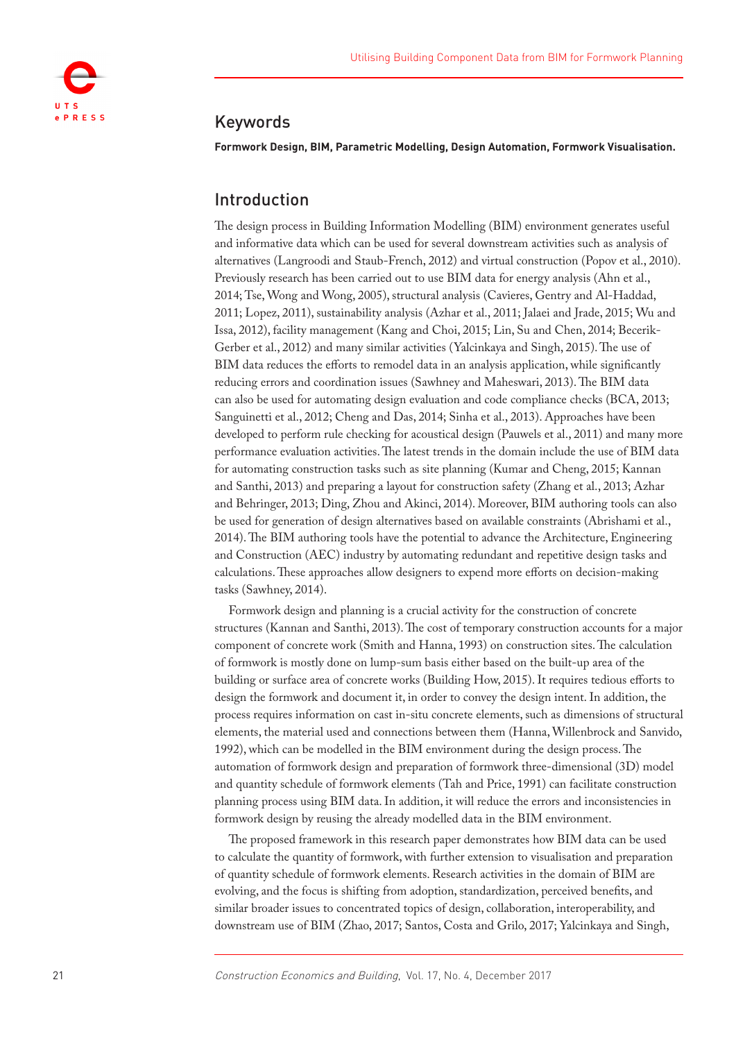

### Keywords

**Formwork Design, BIM, Parametric Modelling, Design Automation, Formwork Visualisation.**

### Introduction

The design process in Building Information Modelling (BIM) environment generates useful and informative data which can be used for several downstream activities such as analysis of alternatives (Langroodi and Staub-French, [2012\)](#page-14-0) and virtual construction (Popov et al., [2010](#page-15-0)). Previously research has been carried out to use BIM data for energy analysis (Ahn et al., 2014; Tse, Wong and Wong, 2005), structural analysis (Cavieres, Gentry and Al-Haddad, [2011;](#page-12-0) Lopez, [2011](#page-14-1)), sustainability analysis (Azhar et al., 2011; Jalaei and Jrade, [2015;](#page-13-0) Wu and Issa, 2012), facility management (Kang and Choi, [2015](#page-13-1); Lin, Su and Chen, [2014;](#page-14-2) Becerik-Gerber et al., 2012) and many similar activities (Yalcinkaya and Singh, 2015). The use of BIM data reduces the efforts to remodel data in an analysis application, while significantly reducing errors and coordination issues (Sawhney and Maheswari, [2013\)](#page-15-1). The BIM data can also be used for automating design evaluation and code compliance checks (BCA, [2013](#page-12-1); Sanguinetti et al., [2012](#page-15-2); Cheng and Das, 2014; Sinha et al., [2013\)](#page-16-0). Approaches have been developed to perform rule checking for acoustical design (Pauwels et al., [2011](#page-15-3)) and many more performance evaluation activities. The latest trends in the domain include the use of BIM data for automating construction tasks such as site planning (Kumar and Cheng, [2015](#page-14-3); Kannan and Santhi, [2013\)](#page-13-2) and preparing a layout for construction safety (Zhang et al., 2013; Azhar and Behringer, 2013; Ding, Zhou and Akinci, [2014\)](#page-12-2). Moreover, BIM authoring tools can also be used for generation of design alternatives based on available constraints (Abrishami et al., 2014). The BIM authoring tools have the potential to advance the Architecture, Engineering and Construction (AEC) industry by automating redundant and repetitive design tasks and calculations. These approaches allow designers to expend more efforts on decision-making tasks (Sawhney, [2014\)](#page-15-4).

Formwork design and planning is a crucial activity for the construction of concrete structures (Kannan and Santhi, [2013\)](#page-13-2). The cost of temporary construction accounts for a major component of concrete work (Smith and Hanna, [1993\)](#page-16-1) on construction sites. The calculation of formwork is mostly done on lump-sum basis either based on the built-up area of the building or surface area of concrete works (Building How, [2015](#page-12-3)). It requires tedious efforts to design the formwork and document it, in order to convey the design intent. In addition, the process requires information on cast in-situ concrete elements, such as dimensions of structural elements, the material used and connections between them (Hanna, Willenbrock and Sanvido, [1992\)](#page-13-3), which can be modelled in the BIM environment during the design process. The automation of formwork design and preparation of formwork three-dimensional (3D) model and quantity schedule of formwork elements (Tah and Price, [1991\)](#page-16-2) can facilitate construction planning process using BIM data. In addition, it will reduce the errors and inconsistencies in formwork design by reusing the already modelled data in the BIM environment.

The proposed framework in this research paper demonstrates how BIM data can be used to calculate the quantity of formwork, with further extension to visualisation and preparation of quantity schedule of formwork elements. Research activities in the domain of BIM are evolving, and the focus is shifting from adoption, standardization, perceived benefits, and similar broader issues to concentrated topics of design, collaboration, interoperability, and downstream use of BIM (Zhao, 2017; Santos, Costa and Grilo, [2017](#page-15-5); Yalcinkaya and Singh,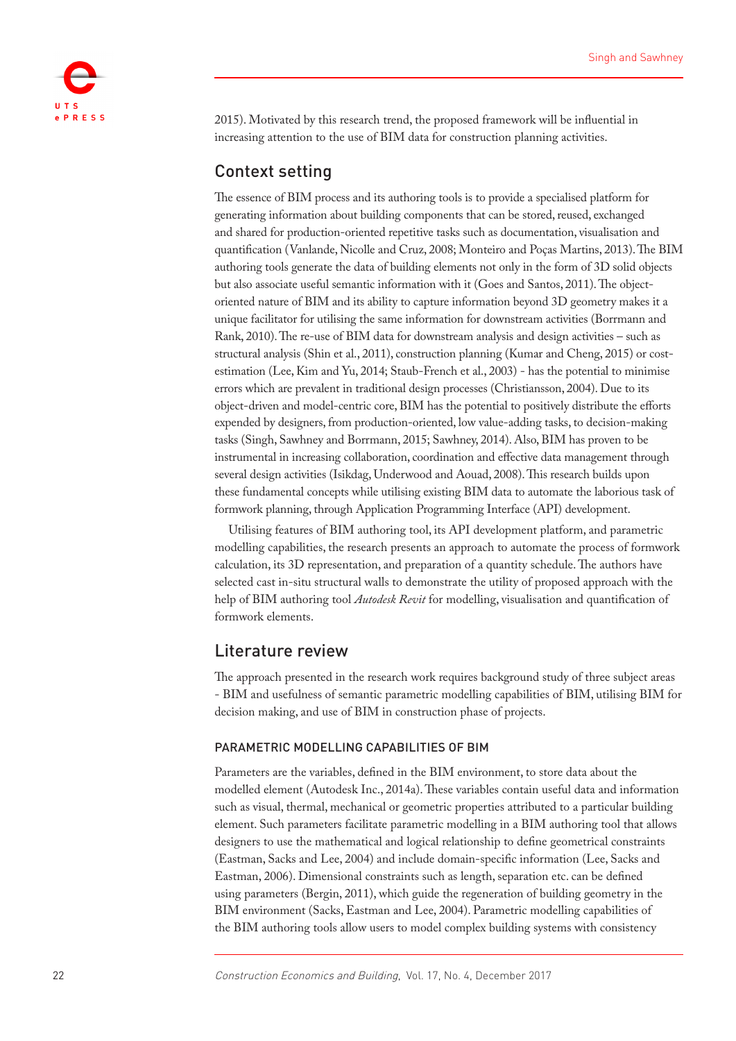

2015). Motivated by this research trend, the proposed framework will be influential in increasing attention to the use of BIM data for construction planning activities.

# Context setting

The essence of BIM process and its authoring tools is to provide a specialised platform for generating information about building components that can be stored, reused, exchanged and shared for production-oriented repetitive tasks such as documentation, visualisation and quantification (Vanlande, Nicolle and Cruz, 2008; Monteiro and Poças Martins, 2013). The BIM authoring tools generate the data of building elements not only in the form of 3D solid objects but also associate useful semantic information with it (Goes and Santos, 2011). The objectoriented nature of BIM and its ability to capture information beyond 3D geometry makes it a unique facilitator for utilising the same information for downstream activities (Borrmann and Rank, 2010). The re-use of BIM data for downstream analysis and design activities – such as structural analysis (Shin et al., [2011\)](#page-15-6), construction planning (Kumar and Cheng, [2015](#page-14-3)) or costestimation (Lee, Kim and Yu, [2014](#page-14-4); Staub-French et al., 2003) - has the potential to minimise errors which are prevalent in traditional design processes (Christiansson, [2004](#page-12-4)). Due to its object-driven and model-centric core, BIM has the potential to positively distribute the efforts expended by designers, from production-oriented, low value-adding tasks, to decision-making tasks (Singh, Sawhney and Borrmann, [2015](#page-15-7); Sawhney, [2014\)](#page-15-4). Also, BIM has proven to be instrumental in increasing collaboration, coordination and effective data management through several design activities (Isikdag, Underwood and Aouad, [2008](#page-13-4)). This research builds upon these fundamental concepts while utilising existing BIM data to automate the laborious task of formwork planning, through Application Programming Interface (API) development.

Utilising features of BIM authoring tool, its API development platform, and parametric modelling capabilities, the research presents an approach to automate the process of formwork calculation, its 3D representation, and preparation of a quantity schedule. The authors have selected cast in-situ structural walls to demonstrate the utility of proposed approach with the help of BIM authoring tool *Autodesk Revit* for modelling, visualisation and quantification of formwork elements.

### Literature review

The approach presented in the research work requires background study of three subject areas - BIM and usefulness of semantic parametric modelling capabilities of BIM, utilising BIM for decision making, and use of BIM in construction phase of projects.

#### PARAMETRIC MODELLING CAPABILITIES OF BIM

Parameters are the variables, defined in the BIM environment, to store data about the modelled element (Autodesk Inc., 2014a). These variables contain useful data and information such as visual, thermal, mechanical or geometric properties attributed to a particular building element. Such parameters facilitate parametric modelling in a BIM authoring tool that allows designers to use the mathematical and logical relationship to define geometrical constraints (Eastman, Sacks and Lee, [2004](#page-13-5)) and include domain-specific information (Lee, Sacks and Eastman, [2006\)](#page-14-5). Dimensional constraints such as length, separation etc. can be defined using parameters (Bergin, [2011\)](#page-12-5), which guide the regeneration of building geometry in the BIM environment (Sacks, Eastman and Lee, [2004](#page-15-8)). Parametric modelling capabilities of the BIM authoring tools allow users to model complex building systems with consistency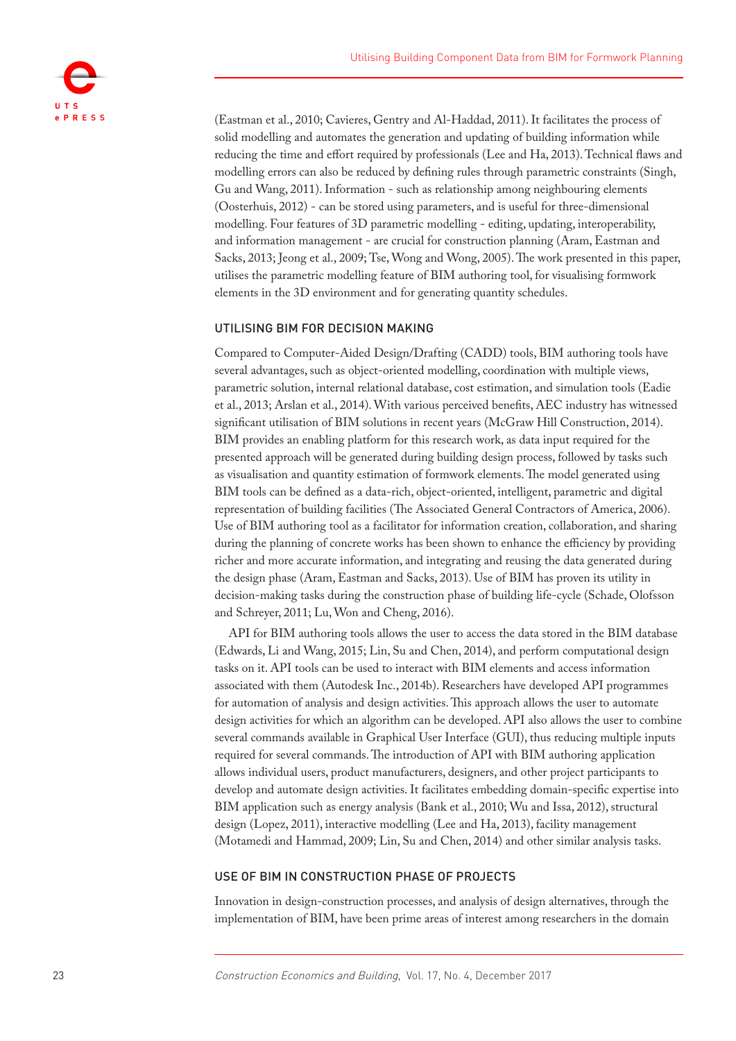

(Eastman et al., [2010;](#page-13-6) Cavieres, Gentry and Al-Haddad, [2011](#page-12-0)). It facilitates the process of solid modelling and automates the generation and updating of building information while reducing the time and effort required by professionals (Lee and Ha, [2013\)](#page-14-6). Technical flaws and modelling errors can also be reduced by defining rules through parametric constraints (Singh, Gu and Wang, [2011](#page-15-9)). Information - such as relationship among neighbouring elements (Oosterhuis, [2012\)](#page-15-10) - can be stored using parameters, and is useful for three-dimensional modelling. Four features of 3D parametric modelling - editing, updating, interoperability, and information management - are crucial for construction planning (Aram, Eastman and Sacks, [2013;](#page-11-0) Jeong et al., [2009](#page-13-7); Tse, Wong and Wong, 2005). The work presented in this paper, utilises the parametric modelling feature of BIM authoring tool, for visualising formwork elements in the 3D environment and for generating quantity schedules.

#### UTILISING BIM FOR DECISION MAKING

Compared to Computer-Aided Design/Drafting (CADD) tools, BIM authoring tools have several advantages, such as object-oriented modelling, coordination with multiple views, parametric solution, internal relational database, cost estimation, and simulation tools (Eadie et al., [2013](#page-13-8); Arslan et al., [2014\)](#page-11-1). With various perceived benefits, AEC industry has witnessed significant utilisation of BIM solutions in recent years (McGraw Hill Construction, [2014\)](#page-14-7). BIM provides an enabling platform for this research work, as data input required for the presented approach will be generated during building design process, followed by tasks such as visualisation and quantity estimation of formwork elements. The model generated using BIM tools can be defined as a data-rich, object-oriented, intelligent, parametric and digital representation of building facilities (The Associated General Contractors of America, 2006). Use of BIM authoring tool as a facilitator for information creation, collaboration, and sharing during the planning of concrete works has been shown to enhance the efficiency by providing richer and more accurate information, and integrating and reusing the data generated during the design phase (Aram, Eastman and Sacks, [2013\)](#page-11-0). Use of BIM has proven its utility in decision-making tasks during the construction phase of building life-cycle (Schade, Olofsson and Schreyer, 2011; Lu, Won and Cheng, [2016\)](#page-14-8).

API for BIM authoring tools allows the user to access the data stored in the BIM database (Edwards, Li and Wang, [2015;](#page-13-9) Lin, Su and Chen, [2014](#page-14-2)), and perform computational design tasks on it. API tools can be used to interact with BIM elements and access information associated with them (Autodesk Inc., 2014b). Researchers have developed API programmes for automation of analysis and design activities. This approach allows the user to automate design activities for which an algorithm can be developed. API also allows the user to combine several commands available in Graphical User Interface (GUI), thus reducing multiple inputs required for several commands. The introduction of API with BIM authoring application allows individual users, product manufacturers, designers, and other project participants to develop and automate design activities. It facilitates embedding domain-specific expertise into BIM application such as energy analysis (Bank et al., [2010;](#page-12-6) Wu and Issa, 2012), structural design (Lopez, [2011](#page-14-1)), interactive modelling (Lee and Ha, [2013\)](#page-14-6), facility management (Motamedi and Hammad, [2009;](#page-15-11) Lin, Su and Chen, [2014](#page-14-2)) and other similar analysis tasks.

#### USE OF BIM IN CONSTRUCTION PHASE OF PROJECTS

Innovation in design-construction processes, and analysis of design alternatives, through the implementation of BIM, have been prime areas of interest among researchers in the domain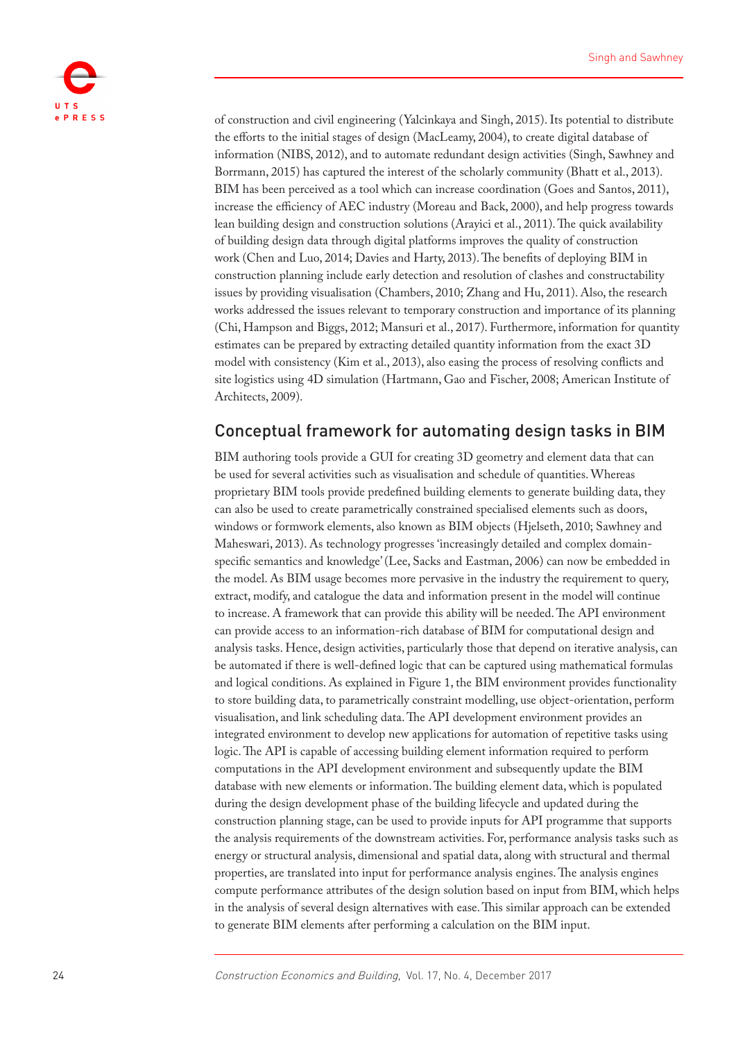

of construction and civil engineering (Yalcinkaya and Singh, 2015). Its potential to distribute the efforts to the initial stages of design (MacLeamy, [2004\)](#page-14-9), to create digital database of information (NIBS, [2012](#page-15-12)), and to automate redundant design activities (Singh, Sawhney and Borrmann, [2015](#page-15-7)) has captured the interest of the scholarly community (Bhatt et al., 2013). BIM has been perceived as a tool which can increase coordination (Goes and Santos, 2011), increase the efficiency of AEC industry (Moreau and Back, [2000](#page-14-10)), and help progress towards lean building design and construction solutions (Arayici et al., 2011). The quick availability of building design data through digital platforms improves the quality of construction work (Chen and Luo, [2014;](#page-12-7) Davies and Harty, 2013). The benefits of deploying BIM in construction planning include early detection and resolution of clashes and constructability issues by providing visualisation (Chambers, 2010; Zhang and Hu, 2011). Also, the research works addressed the issues relevant to temporary construction and importance of its planning (Chi, Hampson and Biggs, [2012](#page-12-8); Mansuri et al., [2017\)](#page-14-11). Furthermore, information for quantity estimates can be prepared by extracting detailed quantity information from the exact 3D model with consistency (Kim et al., [2013](#page-14-12)), also easing the process of resolving conflicts and site logistics using 4D simulation (Hartmann, Gao and Fischer, [2008;](#page-13-10) American Institute of Architects, [2009](#page-11-2)).

## Conceptual framework for automating design tasks in BIM

BIM authoring tools provide a GUI for creating 3D geometry and element data that can be used for several activities such as visualisation and schedule of quantities. Whereas proprietary BIM tools provide predefined building elements to generate building data, they can also be used to create parametrically constrained specialised elements such as doors, windows or formwork elements, also known as BIM objects (Hjelseth, [2010](#page-13-11); Sawhney and Maheswari, [2013\)](#page-15-1). As technology progresses 'increasingly detailed and complex domainspecific semantics and knowledge' (Lee, Sacks and Eastman, [2006](#page-14-5)) can now be embedded in the model. As BIM usage becomes more pervasive in the industry the requirement to query, extract, modify, and catalogue the data and information present in the model will continue to increase. A framework that can provide this ability will be needed. The API environment can provide access to an information-rich database of BIM for computational design and analysis tasks. Hence, design activities, particularly those that depend on iterative analysis, can be automated if there is well-defined logic that can be captured using mathematical formulas and logical conditions. As explained in Figure 1, the BIM environment provides functionality to store building data, to parametrically constraint modelling, use object-orientation, perform visualisation, and link scheduling data. The API development environment provides an integrated environment to develop new applications for automation of repetitive tasks using logic. The API is capable of accessing building element information required to perform computations in the API development environment and subsequently update the BIM database with new elements or information. The building element data, which is populated during the design development phase of the building lifecycle and updated during the construction planning stage, can be used to provide inputs for API programme that supports the analysis requirements of the downstream activities. For, performance analysis tasks such as energy or structural analysis, dimensional and spatial data, along with structural and thermal properties, are translated into input for performance analysis engines. The analysis engines compute performance attributes of the design solution based on input from BIM, which helps in the analysis of several design alternatives with ease. This similar approach can be extended to generate BIM elements after performing a calculation on the BIM input.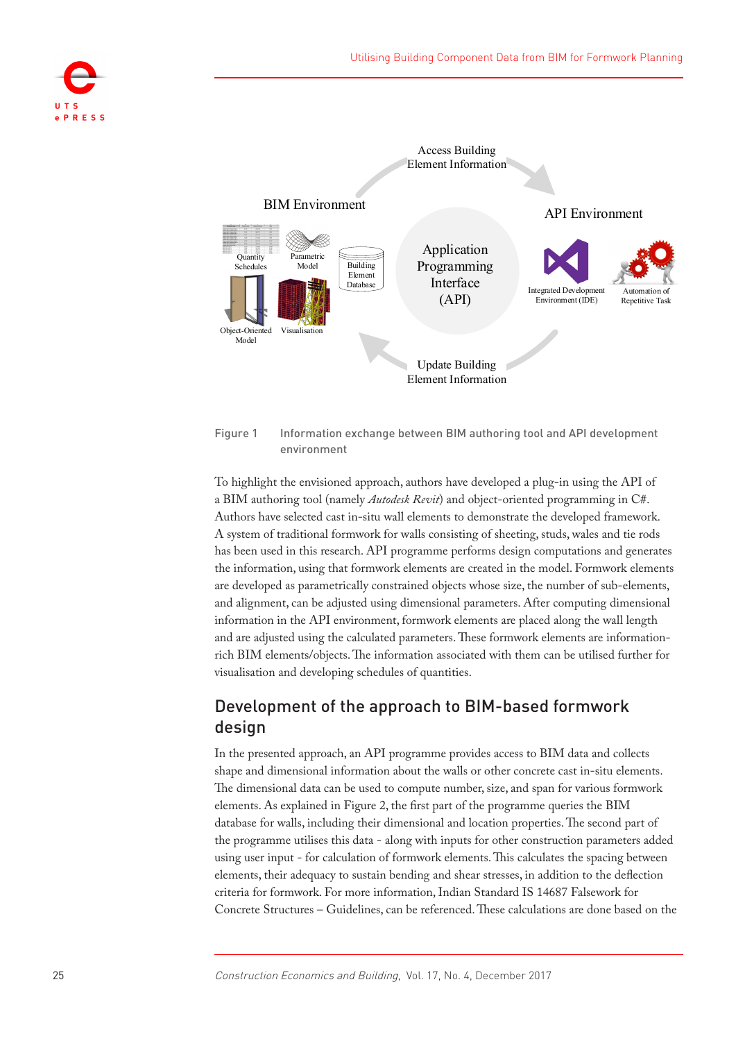



Figure 1 Information exchange between BIM authoring tool and API development environment

To highlight the envisioned approach, authors have developed a plug-in using the API of a BIM authoring tool (namely *Autodesk Revit*) and object-oriented programming in C#. Authors have selected cast in-situ wall elements to demonstrate the developed framework. A system of traditional formwork for walls consisting of sheeting, studs, wales and tie rods has been used in this research. API programme performs design computations and generates the information, using that formwork elements are created in the model. Formwork elements are developed as parametrically constrained objects whose size, the number of sub-elements, and alignment, can be adjusted using dimensional parameters. After computing dimensional information in the API environment, formwork elements are placed along the wall length and are adjusted using the calculated parameters. These formwork elements are informationrich BIM elements/objects. The information associated with them can be utilised further for visualisation and developing schedules of quantities.

# Development of the approach to BIM-based formwork design

In the presented approach, an API programme provides access to BIM data and collects shape and dimensional information about the walls or other concrete cast in-situ elements. The dimensional data can be used to compute number, size, and span for various formwork elements. As explained in Figure 2, the first part of the programme queries the BIM database for walls, including their dimensional and location properties. The second part of the programme utilises this data - along with inputs for other construction parameters added using user input - for calculation of formwork elements. This calculates the spacing between elements, their adequacy to sustain bending and shear stresses, in addition to the deflection criteria for formwork. For more information, Indian Standard IS 14687 Falsework for Concrete Structures – Guidelines, can be referenced. These calculations are done based on the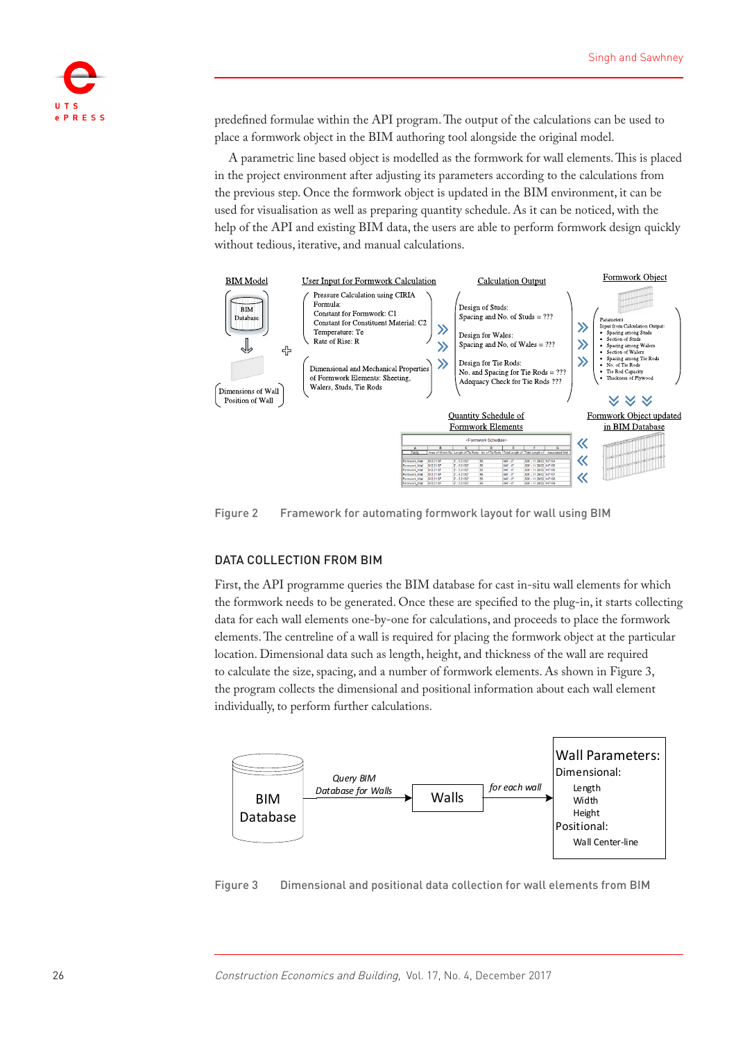

predefined formulae within the API program. The output of the calculations can be used to place a formwork object in the BIM authoring tool alongside the original model.

A parametric line based object is modelled as the formwork for wall elements. This is placed in the project environment after adjusting its parameters according to the calculations from the previous step. Once the formwork object is updated in the BIM environment, it can be used for visualisation as well as preparing quantity schedule. As it can be noticed, with the help of the API and existing BIM data, the users are able to perform formwork design quickly without tedious, iterative, and manual calculations.



Figure 2 Framework for automating formwork layout for wall using BIM

#### DATA COLLECTION FROM BIM

First, the API programme queries the BIM database for cast in-situ wall elements for which the formwork needs to be generated. Once these are specified to the plug-in, it starts collecting data for each wall elements one-by-one for calculations, and proceeds to place the formwork elements. The centreline of a wall is required for placing the formwork object at the particular location. Dimensional data such as length, height, and thickness of the wall are required to calculate the size, spacing, and a number of formwork elements. As shown in Figure 3, the program collects the dimensional and positional information about each wall element individually, to perform further calculations.



Figure 3 Dimensional and positional data collection for wall elements from BIM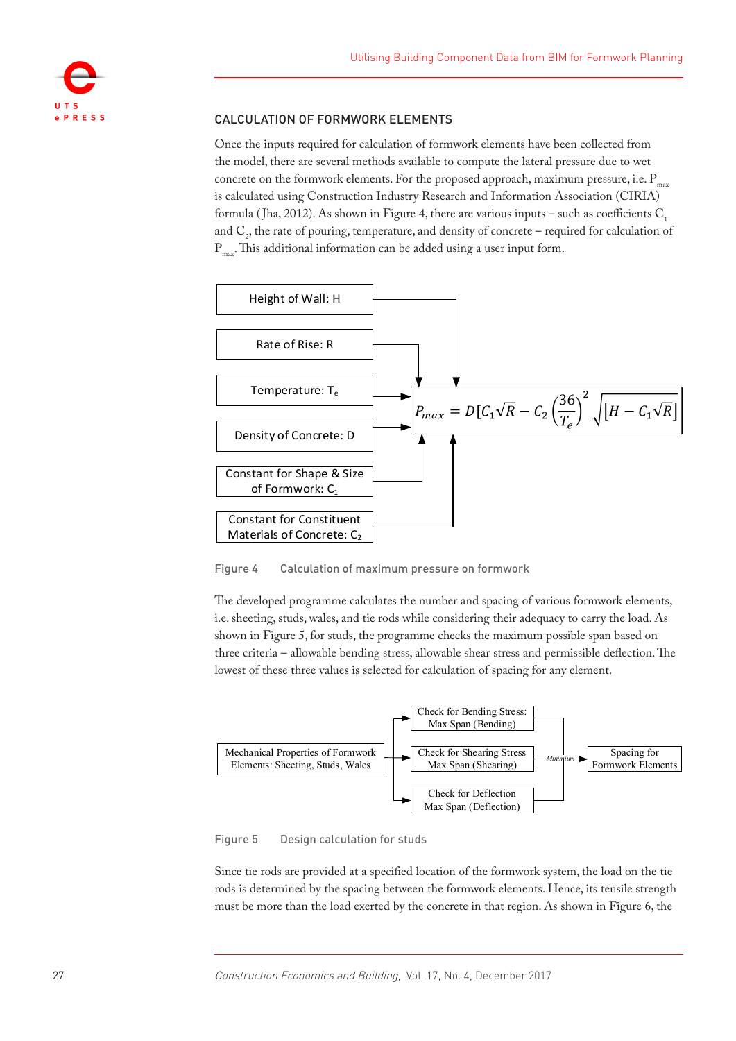

#### CALCULATION OF FORMWORK ELEMENTS

Once the inputs required for calculation of formwork elements have been collected from the model, there are several methods available to compute the lateral pressure due to wet concrete on the formwork elements. For the proposed approach, maximum pressure, i.e.  $P_{\text{max}}$ is calculated using Construction Industry Research and Information Association (CIRIA) formula ( $\beta$ ha, [2012\)](#page-13-12). As shown in Figure 4, there are various inputs – such as coefficients C, and  $C_2$ , the rate of pouring, temperature, and density of concrete – required for calculation of  $P_{\text{max}}$ . This additional information can be added using a user input form.



Figure 4 Calculation of maximum pressure on formwork

The developed programme calculates the number and spacing of various formwork elements, i.e. sheeting, studs, wales, and tie rods while considering their adequacy to carry the load. As shown in Figure 5, for studs, the programme checks the maximum possible span based on three criteria – allowable bending stress, allowable shear stress and permissible deflection. The lowest of these three values is selected for calculation of spacing for any element.



Figure 5 Design calculation for studs

Since tie rods are provided at a specified location of the formwork system, the load on the tie rods is determined by the spacing between the formwork elements. Hence, its tensile strength must be more than the load exerted by the concrete in that region. As shown in Figure 6, the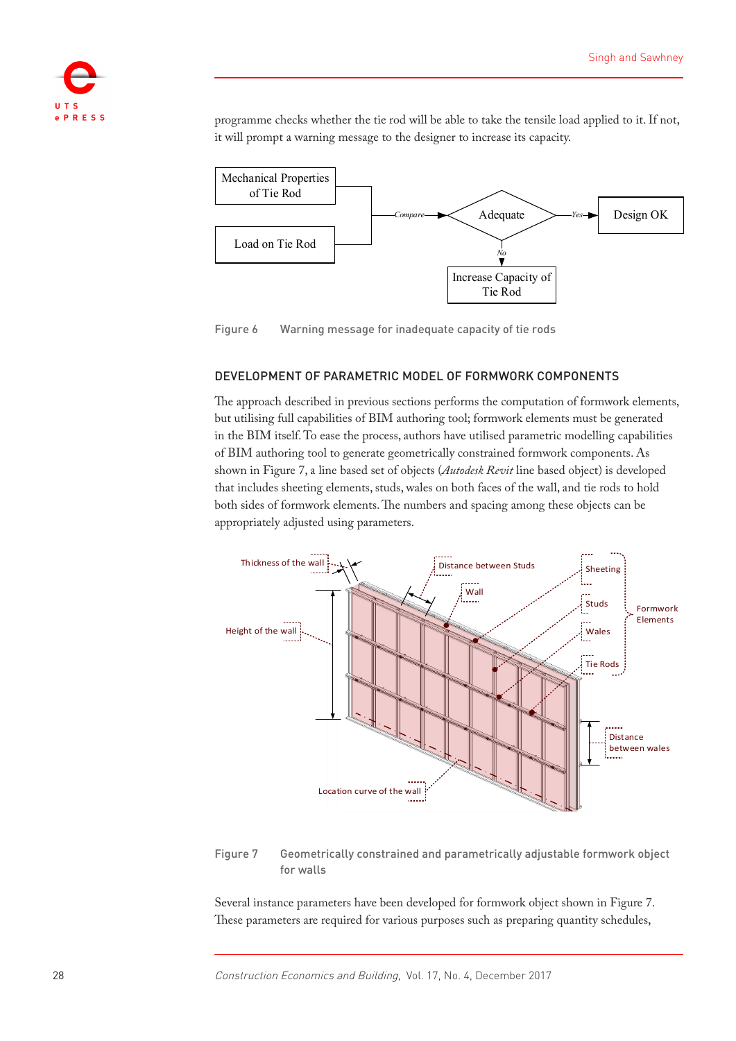

programme checks whether the tie rod will be able to take the tensile load applied to it. If not, it will prompt a warning message to the designer to increase its capacity.



Figure 6 Warning message for inadequate capacity of tie rods

#### DEVELOPMENT OF PARAMETRIC MODEL OF FORMWORK COMPONENTS

The approach described in previous sections performs the computation of formwork elements, but utilising full capabilities of BIM authoring tool; formwork elements must be generated in the BIM itself. To ease the process, authors have utilised parametric modelling capabilities of BIM authoring tool to generate geometrically constrained formwork components. As shown in Figure 7, a line based set of objects (*Autodesk Revit* line based object) is developed that includes sheeting elements, studs, wales on both faces of the wall, and tie rods to hold both sides of formwork elements. The numbers and spacing among these objects can be appropriately adjusted using parameters.



#### Figure 7 Geometrically constrained and parametrically adjustable formwork object for walls

Several instance parameters have been developed for formwork object shown in Figure 7. These parameters are required for various purposes such as preparing quantity schedules,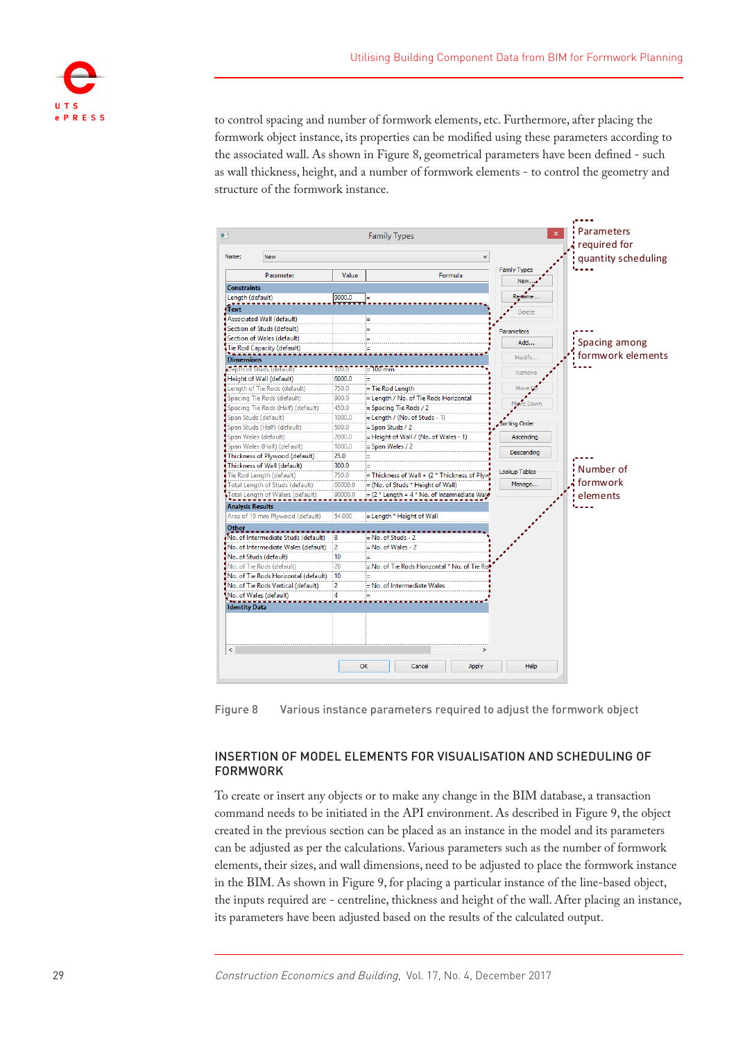

to control spacing and number of formwork elements, etc. Furthermore, after placing the formwork object instance, its properties can be modified using these parameters according to the associated wall. As shown in Figure 8, geometrical parameters have been defined - such as wall thickness, height, and a number of formwork elements - to control the geometry and structure of the formwork instance.

| <b>Family Types</b><br>Value<br>Formula<br>9000.0<br>ь<br>ь<br>н<br>$= 100$ mm<br>6000.0<br>= Tie Rod Length<br>= Length / No. of Tie Rods Horizontal<br>= Spacing Tie Rods / 2<br>= Length / (No. of Studs - 1)<br>1000.0<br>$=$ Span Studs / 2<br>= Height of Wall / (No. of Wales - 1)<br>2000.0<br>1000.0<br>$=$ Span Wales / 2<br>300.0 | $\checkmark$<br><b>Family Types</b><br>New<br>Remame<br>Delete<br>Parameters<br>Add<br>Modify<br>Remove<br>Move U<br>Move Down<br>ting Order<br>Ascending |                                                                                              | Parameters<br>required for<br>quantity scheduling<br>Spacing among<br>formwork elements |
|----------------------------------------------------------------------------------------------------------------------------------------------------------------------------------------------------------------------------------------------------------------------------------------------------------------------------------------------|-----------------------------------------------------------------------------------------------------------------------------------------------------------|----------------------------------------------------------------------------------------------|-----------------------------------------------------------------------------------------|
|                                                                                                                                                                                                                                                                                                                                              |                                                                                                                                                           |                                                                                              |                                                                                         |
|                                                                                                                                                                                                                                                                                                                                              |                                                                                                                                                           |                                                                                              |                                                                                         |
|                                                                                                                                                                                                                                                                                                                                              |                                                                                                                                                           |                                                                                              |                                                                                         |
|                                                                                                                                                                                                                                                                                                                                              |                                                                                                                                                           |                                                                                              |                                                                                         |
|                                                                                                                                                                                                                                                                                                                                              |                                                                                                                                                           |                                                                                              |                                                                                         |
|                                                                                                                                                                                                                                                                                                                                              |                                                                                                                                                           |                                                                                              |                                                                                         |
|                                                                                                                                                                                                                                                                                                                                              |                                                                                                                                                           |                                                                                              |                                                                                         |
|                                                                                                                                                                                                                                                                                                                                              |                                                                                                                                                           |                                                                                              |                                                                                         |
|                                                                                                                                                                                                                                                                                                                                              |                                                                                                                                                           |                                                                                              |                                                                                         |
|                                                                                                                                                                                                                                                                                                                                              |                                                                                                                                                           |                                                                                              |                                                                                         |
|                                                                                                                                                                                                                                                                                                                                              |                                                                                                                                                           |                                                                                              |                                                                                         |
|                                                                                                                                                                                                                                                                                                                                              |                                                                                                                                                           |                                                                                              |                                                                                         |
|                                                                                                                                                                                                                                                                                                                                              |                                                                                                                                                           |                                                                                              |                                                                                         |
|                                                                                                                                                                                                                                                                                                                                              |                                                                                                                                                           |                                                                                              |                                                                                         |
|                                                                                                                                                                                                                                                                                                                                              |                                                                                                                                                           |                                                                                              |                                                                                         |
|                                                                                                                                                                                                                                                                                                                                              |                                                                                                                                                           |                                                                                              |                                                                                         |
|                                                                                                                                                                                                                                                                                                                                              |                                                                                                                                                           |                                                                                              |                                                                                         |
|                                                                                                                                                                                                                                                                                                                                              |                                                                                                                                                           |                                                                                              |                                                                                         |
|                                                                                                                                                                                                                                                                                                                                              |                                                                                                                                                           |                                                                                              |                                                                                         |
|                                                                                                                                                                                                                                                                                                                                              |                                                                                                                                                           |                                                                                              |                                                                                         |
|                                                                                                                                                                                                                                                                                                                                              |                                                                                                                                                           |                                                                                              |                                                                                         |
|                                                                                                                                                                                                                                                                                                                                              |                                                                                                                                                           |                                                                                              |                                                                                         |
|                                                                                                                                                                                                                                                                                                                                              | Descending                                                                                                                                                |                                                                                              |                                                                                         |
|                                                                                                                                                                                                                                                                                                                                              |                                                                                                                                                           |                                                                                              | Number of                                                                               |
| = Thickness of Wall + (2 * Thickness of Plyw                                                                                                                                                                                                                                                                                                 | Lookup Tables                                                                                                                                             |                                                                                              |                                                                                         |
| = (No. of Studs * Height of Wall)<br>60000.0                                                                                                                                                                                                                                                                                                 | Manage                                                                                                                                                    |                                                                                              | formwork                                                                                |
| 90000.0                                                                                                                                                                                                                                                                                                                                      |                                                                                                                                                           |                                                                                              | elements                                                                                |
|                                                                                                                                                                                                                                                                                                                                              |                                                                                                                                                           |                                                                                              |                                                                                         |
| 54,000<br>= Length * Height of Wall                                                                                                                                                                                                                                                                                                          |                                                                                                                                                           |                                                                                              |                                                                                         |
|                                                                                                                                                                                                                                                                                                                                              |                                                                                                                                                           |                                                                                              |                                                                                         |
| $=$ No. of Studs - 2                                                                                                                                                                                                                                                                                                                         |                                                                                                                                                           |                                                                                              |                                                                                         |
| $=$ No. of Wales - 2                                                                                                                                                                                                                                                                                                                         |                                                                                                                                                           |                                                                                              |                                                                                         |
|                                                                                                                                                                                                                                                                                                                                              |                                                                                                                                                           |                                                                                              |                                                                                         |
|                                                                                                                                                                                                                                                                                                                                              |                                                                                                                                                           |                                                                                              |                                                                                         |
|                                                                                                                                                                                                                                                                                                                                              |                                                                                                                                                           |                                                                                              |                                                                                         |
|                                                                                                                                                                                                                                                                                                                                              |                                                                                                                                                           |                                                                                              |                                                                                         |
|                                                                                                                                                                                                                                                                                                                                              |                                                                                                                                                           |                                                                                              |                                                                                         |
|                                                                                                                                                                                                                                                                                                                                              |                                                                                                                                                           |                                                                                              |                                                                                         |
|                                                                                                                                                                                                                                                                                                                                              | = No. of Intermediate Wales                                                                                                                               | = (2 * Length + 4 * No. of Intermediate Walg<br>= No. of Tie Rods Horizontal * No. of Tie Ro |                                                                                         |

Figure 8 Various instance parameters required to adjust the formwork object

#### INSERTION OF MODEL ELEMENTS FOR VISUALISATION AND SCHEDULING OF FORMWORK

To create or insert any objects or to make any change in the BIM database, a transaction command needs to be initiated in the API environment. As described in Figure 9, the object created in the previous section can be placed as an instance in the model and its parameters can be adjusted as per the calculations. Various parameters such as the number of formwork elements, their sizes, and wall dimensions, need to be adjusted to place the formwork instance in the BIM. As shown in Figure 9, for placing a particular instance of the line-based object, the inputs required are - centreline, thickness and height of the wall. After placing an instance, its parameters have been adjusted based on the results of the calculated output.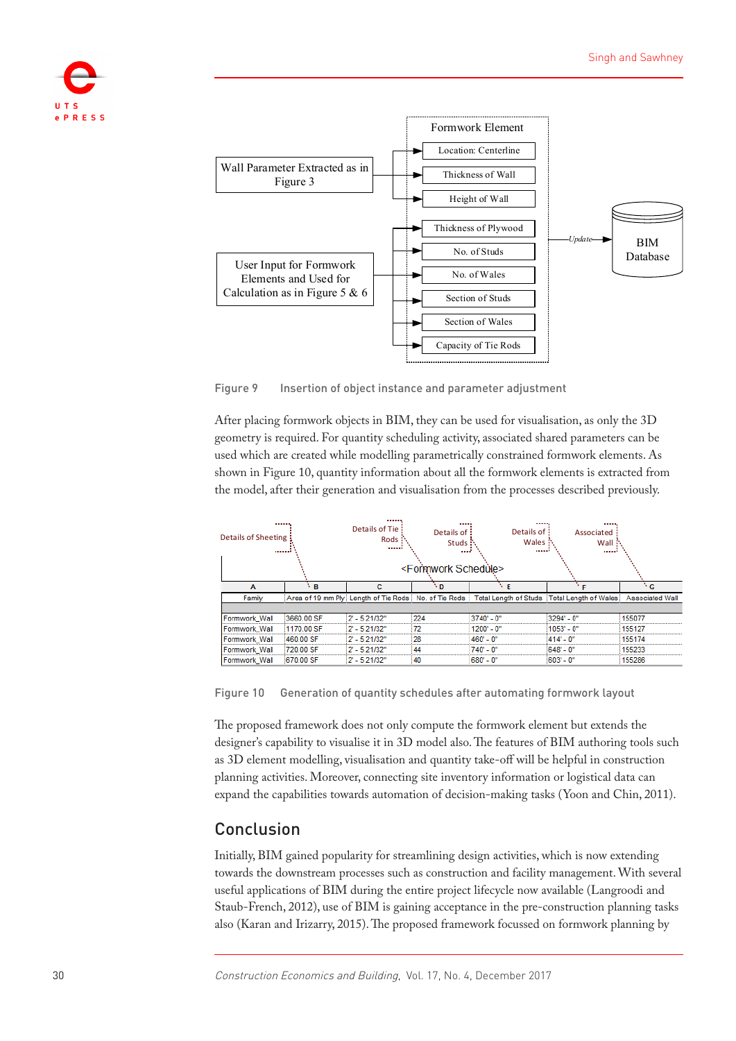



Figure 9 Insertion of object instance and parameter adjustment

After placing formwork objects in BIM, they can be used for visualisation, as only the 3D geometry is required. For quantity scheduling activity, associated shared parameters can be used which are created while modelling parametrically constrained formwork elements. As shown in Figure 10, quantity information about all the formwork elements is extracted from the model, after their generation and visualisation from the processes described previously.

| Details of Sheeting               |            | Details of Tie<br>Rods<br> | Details of:<br>Studs :<br>---- | ----<br>Details of !<br>Wales<br>                                                                                 | Associated<br>Wall<br>----- |        |  |  |
|-----------------------------------|------------|----------------------------|--------------------------------|-------------------------------------------------------------------------------------------------------------------|-----------------------------|--------|--|--|
| <formwork schedule=""></formwork> |            |                            |                                |                                                                                                                   |                             |        |  |  |
| А                                 | ١в         |                            | ٠n                             | ١F                                                                                                                |                             | ٠G     |  |  |
| Family                            |            |                            |                                | Area of 19 mm Ply: Length of Tie Rods No. of Tie Rods Total Length of Studs Total Length of Wales Associated Wall |                             |        |  |  |
|                                   |            |                            |                                |                                                                                                                   |                             |        |  |  |
| Formwork Wall                     | 3660.00 SF | 2" - 5 21/32"              | 224                            | $3740' - 0''$                                                                                                     | $3294' - 0''$               | 155077 |  |  |
| Formwork Wall                     | 1170.00 SF | $2' - 5.21/32''$           | 72                             | 1200' - 0"                                                                                                        | $1053' - 0''$               | 155127 |  |  |
| Formwork Wall                     | 460.00 SF  | 2" = 5.21/32"              | 28                             | $460' - 0''$                                                                                                      | $414 - 0$ "                 | 155174 |  |  |
| Formwork Wall                     | 720.00 SE  | $2' - 5.21/32''$           | 44                             | $740' - 0''$                                                                                                      | $648 - 0$                   | 155233 |  |  |
| <b>Formwork Wall</b>              | 670.00 SF  | 2" - 5 21/32"              | 40                             | $680 - 0$                                                                                                         | 603' - 0"                   | 155286 |  |  |

Figure 10 Generation of quantity schedules after automating formwork layout

The proposed framework does not only compute the formwork element but extends the designer's capability to visualise it in 3D model also. The features of BIM authoring tools such as 3D element modelling, visualisation and quantity take-off will be helpful in construction planning activities. Moreover, connecting site inventory information or logistical data can expand the capabilities towards automation of decision-making tasks (Yoon and Chin, 2011).

### Conclusion

Initially, BIM gained popularity for streamlining design activities, which is now extending towards the downstream processes such as construction and facility management. With several useful applications of BIM during the entire project lifecycle now available (Langroodi and Staub-French, [2012](#page-14-0)), use of BIM is gaining acceptance in the pre-construction planning tasks also (Karan and Irizarry, [2015\)](#page-14-13). The proposed framework focussed on formwork planning by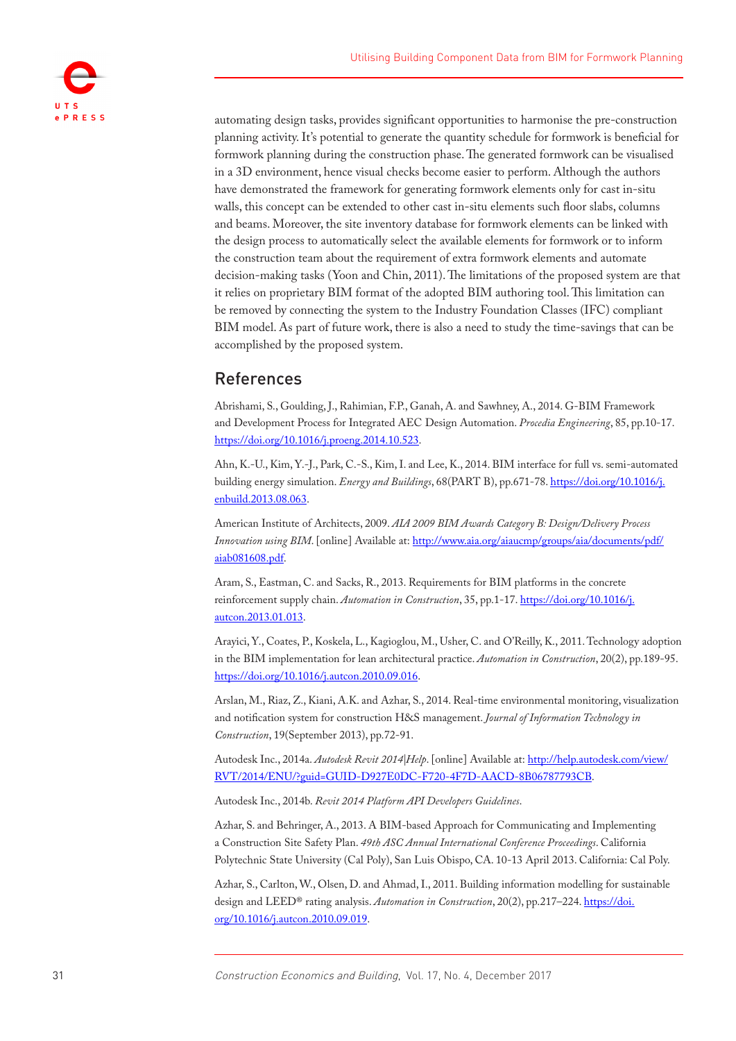

automating design tasks, provides significant opportunities to harmonise the pre-construction planning activity. It's potential to generate the quantity schedule for formwork is beneficial for formwork planning during the construction phase. The generated formwork can be visualised in a 3D environment, hence visual checks become easier to perform. Although the authors have demonstrated the framework for generating formwork elements only for cast in-situ walls, this concept can be extended to other cast in-situ elements such floor slabs, columns and beams. Moreover, the site inventory database for formwork elements can be linked with the design process to automatically select the available elements for formwork or to inform the construction team about the requirement of extra formwork elements and automate decision-making tasks (Yoon and Chin, 2011). The limitations of the proposed system are that it relies on proprietary BIM format of the adopted BIM authoring tool. This limitation can be removed by connecting the system to the Industry Foundation Classes (IFC) compliant BIM model. As part of future work, there is also a need to study the time-savings that can be accomplished by the proposed system.

# References

Abrishami, S., Goulding, J., Rahimian, F.P., Ganah, A. and Sawhney, A., 2014. G-BIM Framework and Development Process for Integrated AEC Design Automation. *Procedia Engineering*, 85, pp.10-17. [https://doi.org/10.1016/j.proeng.2014.10.523.](https://doi.org/10.1016/j.proeng.2014.10.523)

Ahn, K.-U., Kim, Y.-J., Park, C.-S., Kim, I. and Lee, K., 2014. BIM interface for full vs. semi-automated building energy simulation. *Energy and Buildings*, 68(PART B), pp.671-78. [https://doi.org/10.1016/j.](https://doi.org/10.1016/j.enbuild.2013.08.063) [enbuild.2013.08.063](https://doi.org/10.1016/j.enbuild.2013.08.063).

<span id="page-11-2"></span>American Institute of Architects, 2009. *AIA 2009 BIM Awards Category B: Design/Delivery Process Innovation using BIM*. [online] Available at: [http://www.aia.org/aiaucmp/groups/aia/documents/pdf/](http://www.aia.org/aiaucmp/groups/aia/documents/pdf/aiab081608.pdf) [aiab081608.pdf](http://www.aia.org/aiaucmp/groups/aia/documents/pdf/aiab081608.pdf).

<span id="page-11-0"></span>Aram, S., Eastman, C. and Sacks, R., 2013. Requirements for BIM platforms in the concrete reinforcement supply chain. *Automation in Construction*, 35, pp.1-17. [https://doi.org/10.1016/j.](https://doi.org/10.1016/j.autcon.2013.01.013) [autcon.2013.01.013](https://doi.org/10.1016/j.autcon.2013.01.013).

Arayici, Y., Coates, P., Koskela, L., Kagioglou, M., Usher, C. and O'Reilly, K., 2011. Technology adoption in the BIM implementation for lean architectural practice. *Automation in Construction*, 20(2), pp.189-95. <https://doi.org/10.1016/j.autcon.2010.09.016>.

<span id="page-11-1"></span>Arslan, M., Riaz, Z., Kiani, A.K. and Azhar, S., 2014. Real-time environmental monitoring, visualization and notification system for construction H&S management. *Journal of Information Technology in Construction*, 19(September 2013), pp.72-91.

Autodesk Inc., 2014a. *Autodesk Revit 2014|Help*. [online] Available at: [http://help.autodesk.com/view/](http://help.autodesk.com/view/RVT/2014/ENU/?guid=GUID-D927E0DC-F720-4F7D-AACD-8B06787793CB) [RVT/2014/ENU/?guid=GUID-D927E0DC-F720-4F7D-AACD-8B06787793CB.](http://help.autodesk.com/view/RVT/2014/ENU/?guid=GUID-D927E0DC-F720-4F7D-AACD-8B06787793CB)

Autodesk Inc., 2014b. *Revit 2014 Platform API Developers Guidelines*.

Azhar, S. and Behringer, A., 2013. A BIM-based Approach for Communicating and Implementing a Construction Site Safety Plan. *49th ASC Annual International Conference Proceedings*. California Polytechnic State University (Cal Poly), San Luis Obispo, CA. 10-13 April 2013. California: Cal Poly.

Azhar, S., Carlton, W., Olsen, D. and Ahmad, I., 2011. Building information modelling for sustainable design and LEED<sup>®</sup> rating analysis. Automation in Construction, 20(2), pp.217-224. [https://doi.](https://doi.org/10.1016/j.autcon.2010.09.019) [org/10.1016/j.autcon.2010.09.019](https://doi.org/10.1016/j.autcon.2010.09.019).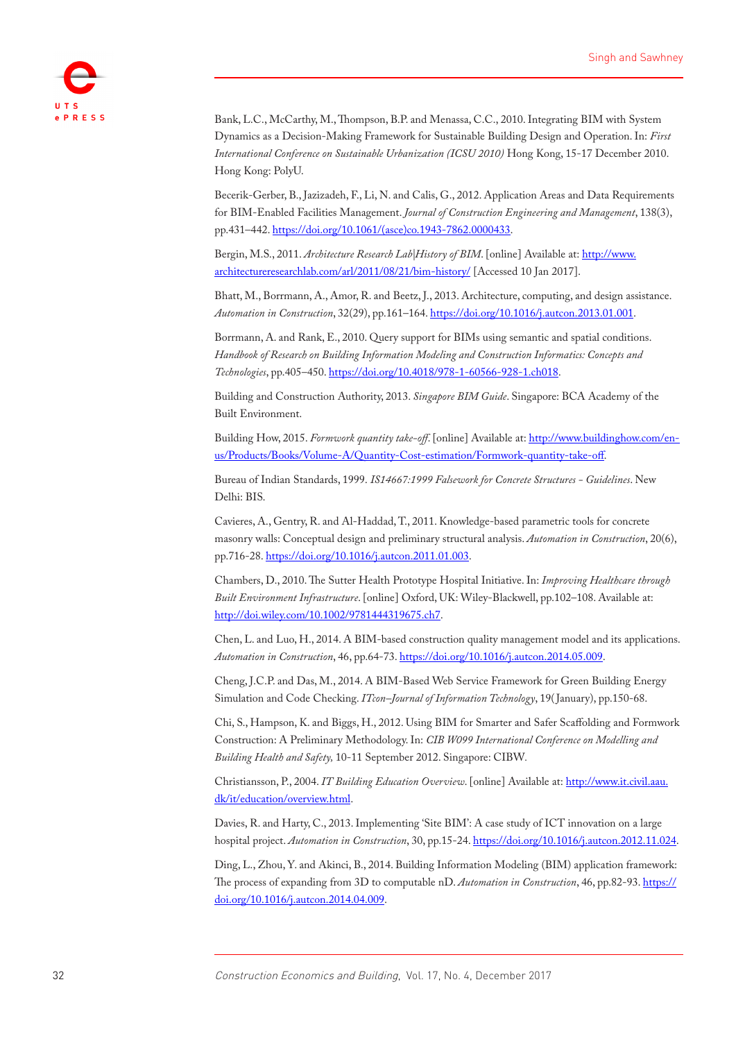

<span id="page-12-6"></span>Bank, L.C., McCarthy, M., Thompson, B.P. and Menassa, C.C., 2010. Integrating BIM with System Dynamics as a Decision-Making Framework for Sustainable Building Design and Operation. In: *First International Conference on Sustainable Urbanization (ICSU 2010)* Hong Kong, 15-17 December 2010. Hong Kong: PolyU.

Becerik-Gerber, B., Jazizadeh, F., Li, N. and Calis, G., 2012. Application Areas and Data Requirements for BIM-Enabled Facilities Management. *Journal of Construction Engineering and Management*, 138(3), pp.431–442. [https://doi.org/10.1061/\(asce\)co.1943-7862.0000433.](https://doi.org/10.1061/(asce)co.1943-7862.0000433)

<span id="page-12-5"></span>Bergin, M.S., 2011. *Architecture Research Lab|History of BIM*. [online] Available at: [http://www.](http://www.architectureresearchlab.com/arl/2011/08/21/bim-history/) [architectureresearchlab.com/arl/2011/08/21/bim-history/](http://www.architectureresearchlab.com/arl/2011/08/21/bim-history/) [Accessed 10 Jan 2017].

Bhatt, M., Borrmann, A., Amor, R. and Beetz, J., 2013. Architecture, computing, and design assistance. *Automation in Construction*, 32(29), pp.161–164.<https://doi.org/10.1016/j.autcon.2013.01.001>.

Borrmann, A. and Rank, E., 2010. Query support for BIMs using semantic and spatial conditions. *Handbook of Research on Building Information Modeling and Construction Informatics: Concepts and Technologies*, pp.405–450. [https://doi.org/10.4018/978-1-60566-928-1.ch018.](https://doi.org/10.4018/978-1-60566-928-1.ch018)

<span id="page-12-1"></span>Building and Construction Authority, 2013. *Singapore BIM Guide*. Singapore: BCA Academy of the Built Environment.

<span id="page-12-3"></span>Building How, 2015. *Formwork quantity take-off*. [online] Available at: [http://www.buildinghow.com/en](http://www.buildinghow.com/en-us/Products/Books/Volume-A/Quantity-Cost-estimation/Formwork-quantity-take-off)[us/Products/Books/Volume-A/Quantity-Cost-estimation/Formwork-quantity-take-off.](http://www.buildinghow.com/en-us/Products/Books/Volume-A/Quantity-Cost-estimation/Formwork-quantity-take-off)

Bureau of Indian Standards, 1999. *IS14667:1999 Falsework for Concrete Structures - Guidelines*. New Delhi: BIS.

<span id="page-12-0"></span>Cavieres, A., Gentry, R. and Al-Haddad, T., 2011. Knowledge-based parametric tools for concrete masonry walls: Conceptual design and preliminary structural analysis. *Automation in Construction*, 20(6), pp.716-28. <https://doi.org/10.1016/j.autcon.2011.01.003>.

Chambers, D., 2010. The Sutter Health Prototype Hospital Initiative. In: *Improving Healthcare through Built Environment Infrastructure*. [online] Oxford, UK: Wiley-Blackwell, pp.102–108. Available at: <http://doi.wiley.com/10.1002/9781444319675.ch7>.

<span id="page-12-7"></span>Chen, L. and Luo, H., 2014. A BIM-based construction quality management model and its applications. *Automation in Construction*, 46, pp.64-73. [https://doi.org/10.1016/j.autcon.2014.05.009.](https://doi.org/10.1016/j.autcon.2014.05.009)

Cheng, J.C.P. and Das, M., 2014. A BIM-Based Web Service Framework for Green Building Energy Simulation and Code Checking. *ITcon–Journal of Information Technology*, 19( January), pp.150-68.

<span id="page-12-8"></span>Chi, S., Hampson, K. and Biggs, H., 2012. Using BIM for Smarter and Safer Scaffolding and Formwork Construction: A Preliminary Methodology. In: *CIB W099 International Conference on Modelling and Building Health and Safety,* 10-11 September 2012. Singapore: CIBW*.*

<span id="page-12-4"></span>Christiansson, P., 2004. *IT Building Education Overview*. [online] Available at: [http://www.it.civil.aau.](http://www.it.civil.aau.dk/it/education/overview.html) [dk/it/education/overview.html.](http://www.it.civil.aau.dk/it/education/overview.html)

Davies, R. and Harty, C., 2013. Implementing 'Site BIM': A case study of ICT innovation on a large hospital project. *Automation in Construction*, 30, pp.15-24. <https://doi.org/10.1016/j.autcon.2012.11.024>.

<span id="page-12-2"></span>Ding, L., Zhou, Y. and Akinci, B., 2014. Building Information Modeling (BIM) application framework: The process of expanding from 3D to computable nD. *Automation in Construction*, 46, pp.82-93. [https://](https://doi.org/10.1016/j.autcon.2014.04.009) [doi.org/10.1016/j.autcon.2014.04.009.](https://doi.org/10.1016/j.autcon.2014.04.009)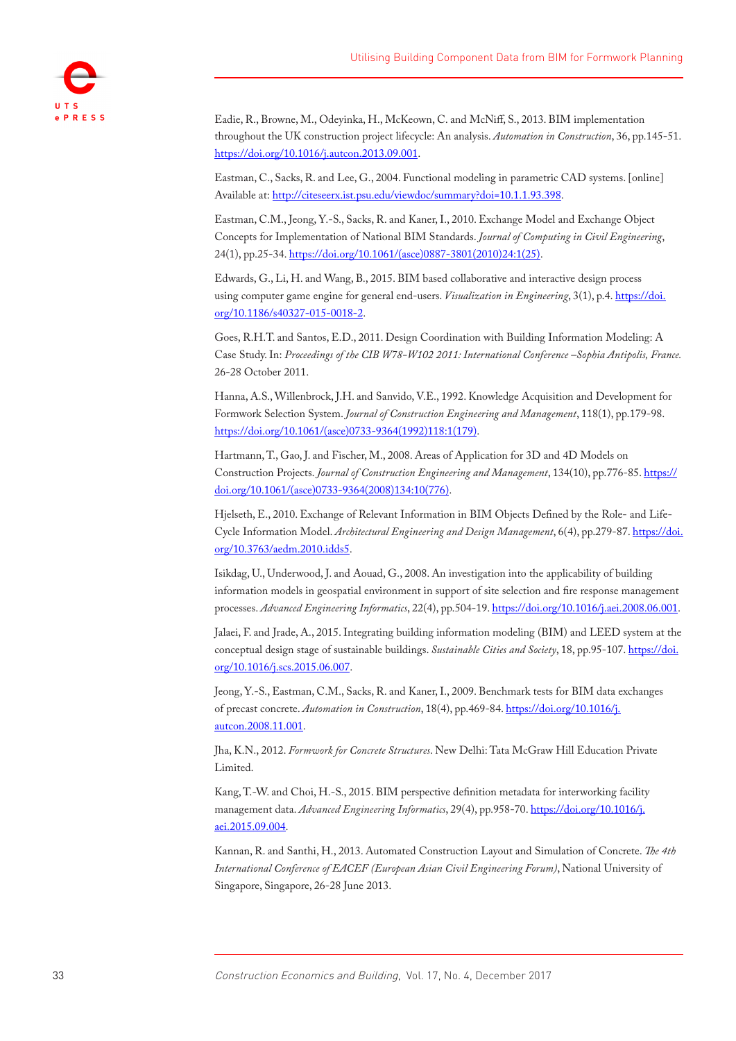

<span id="page-13-8"></span>Eadie, R., Browne, M., Odeyinka, H., McKeown, C. and McNiff, S., 2013. BIM implementation throughout the UK construction project lifecycle: An analysis. *Automation in Construction*, 36, pp.145-51. <https://doi.org/10.1016/j.autcon.2013.09.001>.

<span id="page-13-5"></span>Eastman, C., Sacks, R. and Lee, G., 2004. Functional modeling in parametric CAD systems. [online] Available at: [http://citeseerx.ist.psu.edu/viewdoc/summary?doi=10.1.1.93.398.](http://citeseerx.ist.psu.edu/viewdoc/summary?doi=10.1.1.93.398)

<span id="page-13-6"></span>Eastman, C.M., Jeong, Y.-S., Sacks, R. and Kaner, I., 2010. Exchange Model and Exchange Object Concepts for Implementation of National BIM Standards. *Journal of Computing in Civil Engineering*, 24(1), pp.25-34. [https://doi.org/10.1061/\(asce\)0887-3801\(2010\)24:1\(25\)](https://doi.org/10.1061/(asce)0887-3801(2010)24:1(25)).

<span id="page-13-9"></span>Edwards, G., Li, H. and Wang, B., 2015. BIM based collaborative and interactive design process using computer game engine for general end-users. *Visualization in Engineering*, 3(1), p.4. [https://doi.](https://doi.org/10.1186/s40327-015-0018-2) [org/10.1186/s40327-015-0018-2.](https://doi.org/10.1186/s40327-015-0018-2)

Goes, R.H.T. and Santos, E.D., 2011. Design Coordination with Building Information Modeling: A Case Study. In: *Proceedings of the CIB W78-W102 2011: International Conference –Sophia Antipolis, France.*  26-28 October 2011.

<span id="page-13-3"></span>Hanna, A.S., Willenbrock, J.H. and Sanvido, V.E., 1992. Knowledge Acquisition and Development for Formwork Selection System. *Journal of Construction Engineering and Management*, 118(1), pp.179-98. [https://doi.org/10.1061/\(asce\)0733-9364\(1992\)118:1\(179\).](https://doi.org/10.1061/(asce)0733-9364(1992)118:1(179))

<span id="page-13-10"></span>Hartmann, T., Gao, J. and Fischer, M., 2008. Areas of Application for 3D and 4D Models on Construction Projects. *Journal of Construction Engineering and Management*, 134(10), pp.776-85. [https://](https://doi.org/10.1061/(asce)0733-9364(2008)134:10(776)) [doi.org/10.1061/\(asce\)0733-9364\(2008\)134:10\(776\)](https://doi.org/10.1061/(asce)0733-9364(2008)134:10(776)).

<span id="page-13-11"></span>Hjelseth, E., 2010. Exchange of Relevant Information in BIM Objects Defined by the Role- and Life-Cycle Information Model. *Architectural Engineering and Design Management*, 6(4), pp.279-87. [https://doi.](https://doi.org/10.3763/aedm.2010.idds5) [org/10.3763/aedm.2010.idds5.](https://doi.org/10.3763/aedm.2010.idds5)

<span id="page-13-4"></span>Isikdag, U., Underwood, J. and Aouad, G., 2008. An investigation into the applicability of building information models in geospatial environment in support of site selection and fire response management processes. *Advanced Engineering Informatics*, 22(4), pp.504-19.<https://doi.org/10.1016/j.aei.2008.06.001>.

<span id="page-13-0"></span>Jalaei, F. and Jrade, A., 2015. Integrating building information modeling (BIM) and LEED system at the conceptual design stage of sustainable buildings. *Sustainable Cities and Society*, 18, pp.95-107. [https://doi.](https://doi.org/10.1016/j.scs.2015.06.007) [org/10.1016/j.scs.2015.06.007](https://doi.org/10.1016/j.scs.2015.06.007).

<span id="page-13-7"></span>Jeong, Y.-S., Eastman, C.M., Sacks, R. and Kaner, I., 2009. Benchmark tests for BIM data exchanges of precast concrete. *Automation in Construction*, 18(4), pp.469-84. [https://doi.org/10.1016/j.](https://doi.org/10.1016/j.autcon.2008.11.001) [autcon.2008.11.001](https://doi.org/10.1016/j.autcon.2008.11.001).

<span id="page-13-12"></span>Jha, K.N., 2012. *Formwork for Concrete Structures*. New Delhi: Tata McGraw Hill Education Private Limited.

<span id="page-13-1"></span>Kang, T.-W. and Choi, H.-S., 2015. BIM perspective definition metadata for interworking facility management data. *Advanced Engineering Informatics*, 29(4), pp.958-70. [https://doi.org/10.1016/j.](https://doi.org/10.1016/j.aei.2015.09.004) [aei.2015.09.004](https://doi.org/10.1016/j.aei.2015.09.004).

<span id="page-13-2"></span>Kannan, R. and Santhi, H., 2013. Automated Construction Layout and Simulation of Concrete. *The 4th International Conference of EACEF (European Asian Civil Engineering Forum)*, National University of Singapore, Singapore, 26-28 June 2013.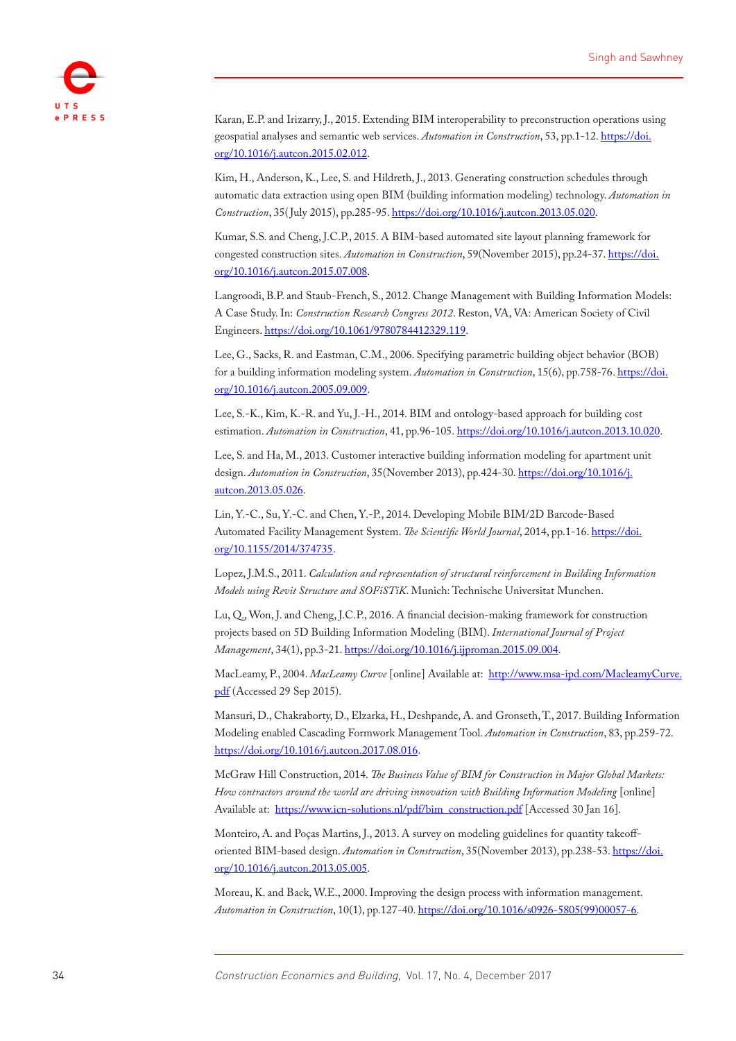

<span id="page-14-13"></span>Karan, E.P. and Irizarry, J., 2015. Extending BIM interoperability to preconstruction operations using geospatial analyses and semantic web services. *Automation in Construction*, 53, pp.1-12. [https://doi.](https://doi.org/10.1016/j.autcon.2015.02.012) [org/10.1016/j.autcon.2015.02.012](https://doi.org/10.1016/j.autcon.2015.02.012).

<span id="page-14-12"></span>Kim, H., Anderson, K., Lee, S. and Hildreth, J., 2013. Generating construction schedules through automatic data extraction using open BIM (building information modeling) technology. *Automation in Construction*, 35( July 2015), pp.285-95.<https://doi.org/10.1016/j.autcon.2013.05.020>.

<span id="page-14-3"></span>Kumar, S.S. and Cheng, J.C.P., 2015. A BIM-based automated site layout planning framework for congested construction sites. *Automation in Construction*, 59(November 2015), pp.24-37. [https://doi.](https://doi.org/10.1016/j.autcon.2015.07.008) [org/10.1016/j.autcon.2015.07.008](https://doi.org/10.1016/j.autcon.2015.07.008).

<span id="page-14-0"></span>Langroodi, B.P. and Staub-French, S., 2012. Change Management with Building Information Models: A Case Study. In: *Construction Research Congress 2012*. Reston, VA, VA: American Society of Civil Engineers. [https://doi.org/10.1061/9780784412329.119.](https://doi.org/10.1061/9780784412329.119)

<span id="page-14-5"></span>Lee, G., Sacks, R. and Eastman, C.M., 2006. Specifying parametric building object behavior (BOB) for a building information modeling system. *Automation in Construction*, 15(6), pp.758-76. [https://doi.](https://doi.org/10.1016/j.autcon.2005.09.009) [org/10.1016/j.autcon.2005.09.009](https://doi.org/10.1016/j.autcon.2005.09.009).

<span id="page-14-4"></span>Lee, S.-K., Kim, K.-R. and Yu, J.-H., 2014. BIM and ontology-based approach for building cost estimation. *Automation in Construction*, 41, pp.96-105. <https://doi.org/10.1016/j.autcon.2013.10.020>.

<span id="page-14-6"></span>Lee, S. and Ha, M., 2013. Customer interactive building information modeling for apartment unit design. *Automation in Construction*, 35(November 2013), pp.424-30. [https://doi.org/10.1016/j.](https://doi.org/10.1016/j.autcon.2013.05.026) [autcon.2013.05.026](https://doi.org/10.1016/j.autcon.2013.05.026).

<span id="page-14-2"></span>Lin, Y.-C., Su, Y.-C. and Chen, Y.-P., 2014. Developing Mobile BIM/2D Barcode-Based Automated Facility Management System. The Scientific World Journal, 2014, pp.1-16. [https://doi.](https://doi.org/10.1155/2014/374735) [org/10.1155/2014/374735](https://doi.org/10.1155/2014/374735).

<span id="page-14-1"></span>Lopez, J.M.S., 2011. *Calculation and representation of structural reinforcement in Building Information Models using Revit Structure and SOFiSTiK*. Munich: Technische Universitat Munchen.

<span id="page-14-8"></span>Lu, Q., Won, J. and Cheng, J.C.P., 2016. A financial decision-making framework for construction projects based on 5D Building Information Modeling (BIM). *International Journal of Project Management*, 34(1), pp.3-21. [https://doi.org/10.1016/j.ijproman.2015.09.004.](https://doi.org/10.1016/j.ijproman.2015.09.004)

<span id="page-14-9"></span>MacLeamy, P., 2004. *MacLeamy Curve* [online] Available at: [http://www.msa-ipd.com/MacleamyCurve.](http://www.msa-ipd.com/MacleamyCurve.pdf) [pdf](http://www.msa-ipd.com/MacleamyCurve.pdf) (Accessed 29 Sep 2015).

<span id="page-14-11"></span>Mansuri, D., Chakraborty, D., Elzarka, H., Deshpande, A. and Gronseth, T., 2017. Building Information Modeling enabled Cascading Formwork Management Tool. *Automation in Construction*, 83, pp.259-72. <https://doi.org/10.1016/j.autcon.2017.08.016>.

<span id="page-14-7"></span>McGraw Hill Construction, 2014. *The Business Value of BIM for Construction in Major Global Markets: How contractors around the world are driving innovation with Building Information Modeling* [online] Available at: [https://www.icn-solutions.nl/pdf/bim\\_construction.pdf](https://www.icn-solutions.nl/pdf/bim_construction.pdf) [Accessed 30 Jan 16].

Monteiro, A. and Poças Martins, J., 2013. A survey on modeling guidelines for quantity takeofforiented BIM-based design. *Automation in Construction*, 35(November 2013), pp.238-53. [https://doi.](https://doi.org/10.1016/j.autcon.2013.05.005) [org/10.1016/j.autcon.2013.05.005](https://doi.org/10.1016/j.autcon.2013.05.005).

<span id="page-14-10"></span>Moreau, K. and Back, W.E., 2000. Improving the design process with information management. *Automation in Construction*, 10(1), pp.127-40. [https://doi.org/10.1016/s0926-5805\(99\)00057-6](https://doi.org/10.1016/s0926-5805(99)00057-6).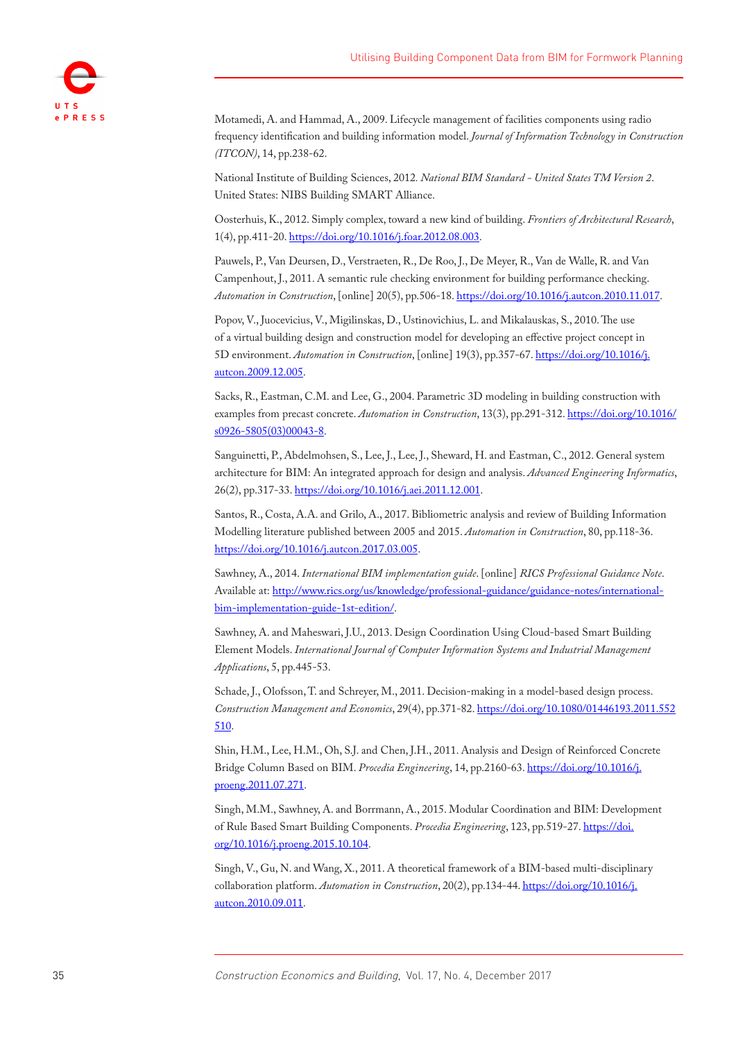

<span id="page-15-11"></span>Motamedi, A. and Hammad, A., 2009. Lifecycle management of facilities components using radio frequency identification and building information model. *Journal of Information Technology in Construction (ITCON)*, 14, pp.238-62.

<span id="page-15-12"></span>National Institute of Building Sciences, 2012*. National BIM Standard - United States TM Version 2*. United States: NIBS Building SMART Alliance.

<span id="page-15-10"></span>Oosterhuis, K., 2012. Simply complex, toward a new kind of building. *Frontiers of Architectural Research*, 1(4), pp.411-20. [https://doi.org/10.1016/j.foar.2012.08.003.](https://doi.org/10.1016/j.foar.2012.08.003)

<span id="page-15-3"></span>Pauwels, P., Van Deursen, D., Verstraeten, R., De Roo, J., De Meyer, R., Van de Walle, R. and Van Campenhout, J., 2011. A semantic rule checking environment for building performance checking. *Automation in Construction*, [online] 20(5), pp.506-18. [https://doi.org/10.1016/j.autcon.2010.11.017.](https://doi.org/10.1016/j.autcon.2010.11.017)

<span id="page-15-0"></span>Popov, V., Juocevicius, V., Migilinskas, D., Ustinovichius, L. and Mikalauskas, S., 2010. The use of a virtual building design and construction model for developing an effective project concept in 5D environment. *Automation in Construction*, [online] 19(3), pp.357-67. [https://doi.org/10.1016/j.](https://doi.org/10.1016/j.autcon.2009.12.005) [autcon.2009.12.005](https://doi.org/10.1016/j.autcon.2009.12.005).

<span id="page-15-8"></span>Sacks, R., Eastman, C.M. and Lee, G., 2004. Parametric 3D modeling in building construction with examples from precast concrete. *Automation in Construction*, 13(3), pp.291-312. [https://doi.org/10.1016/](https://doi.org/10.1016/s0926-5805(03)00043-8) [s0926-5805\(03\)00043-8](https://doi.org/10.1016/s0926-5805(03)00043-8).

<span id="page-15-2"></span>Sanguinetti, P., Abdelmohsen, S., Lee, J., Lee, J., Sheward, H. and Eastman, C., 2012. General system architecture for BIM: An integrated approach for design and analysis. *Advanced Engineering Informatics*, 26(2), pp.317-33. [https://doi.org/10.1016/j.aei.2011.12.001.](https://doi.org/10.1016/j.aei.2011.12.001)

<span id="page-15-5"></span>Santos, R., Costa, A.A. and Grilo, A., 2017. Bibliometric analysis and review of Building Information Modelling literature published between 2005 and 2015. *Automation in Construction*, 80, pp.118-36. <https://doi.org/10.1016/j.autcon.2017.03.005>.

<span id="page-15-4"></span>Sawhney, A., 2014. *International BIM implementation guide*. [online] *RICS Professional Guidance Note*. Available at: [http://www.rics.org/us/knowledge/professional-guidance/guidance-notes/international](http://www.rics.org/us/knowledge/professional-guidance/guidance-notes/international-bim-implementation-guide-1st-edition/)[bim-implementation-guide-1st-edition/.](http://www.rics.org/us/knowledge/professional-guidance/guidance-notes/international-bim-implementation-guide-1st-edition/)

<span id="page-15-1"></span>Sawhney, A. and Maheswari, J.U., 2013. Design Coordination Using Cloud-based Smart Building Element Models. *International Journal of Computer Information Systems and Industrial Management Applications*, 5, pp.445-53.

Schade, J., Olofsson, T. and Schreyer, M., 2011. Decision-making in a model-based design process. *Construction Management and Economics*, 29(4), pp.371-82. [https://doi.org/10.1080/01446193.2011.552](https://doi.org/10.1080/01446193.2011.552510) [510](https://doi.org/10.1080/01446193.2011.552510).

<span id="page-15-6"></span>Shin, H.M., Lee, H.M., Oh, S.J. and Chen, J.H., 2011. Analysis and Design of Reinforced Concrete Bridge Column Based on BIM. *Procedia Engineering*, 14, pp.2160-63. [https://doi.org/10.1016/j.](https://doi.org/10.1016/j.proeng.2011.07.271) [proeng.2011.07.271.](https://doi.org/10.1016/j.proeng.2011.07.271)

<span id="page-15-7"></span>Singh, M.M., Sawhney, A. and Borrmann, A., 2015. Modular Coordination and BIM: Development of Rule Based Smart Building Components. *Procedia Engineering*, 123, pp.519-27. [https://doi.](https://doi.org/10.1016/j.proeng.2015.10.104) [org/10.1016/j.proeng.2015.10.104.](https://doi.org/10.1016/j.proeng.2015.10.104)

<span id="page-15-9"></span>Singh, V., Gu, N. and Wang, X., 2011. A theoretical framework of a BIM-based multi-disciplinary collaboration platform. *Automation in Construction*, 20(2), pp.134-44. [https://doi.org/10.1016/j.](https://doi.org/10.1016/j.autcon.2010.09.011) [autcon.2010.09.011](https://doi.org/10.1016/j.autcon.2010.09.011).